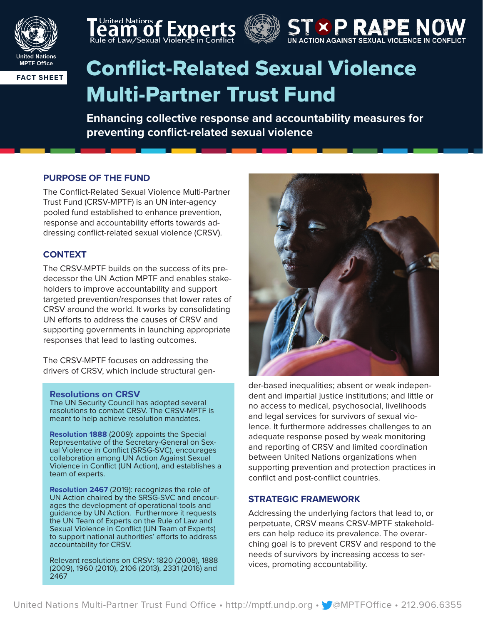







# **FACT SHEET** Conflict-Related Sexual Violence Multi-Partner Trust Fund

**Enhancing collective response and accountability measures for preventing conflict-related sexual violence**

# **PURPOSE OF THE FUND**

The Conflict-Related Sexual Violence Multi-Partner Trust Fund (CRSV-MPTF) is an UN inter-agency pooled fund established to enhance prevention, response and accountability efforts towards addressing conflict-related sexual violence (CRSV).

# **CONTEXT**

The CRSV-MPTF builds on the success of its predecessor the UN Action MPTF and enables stakeholders to improve accountability and support targeted prevention/responses that lower rates of CRSV around the world. It works by consolidating UN efforts to address the causes of CRSV and supporting governments in launching appropriate responses that lead to lasting outcomes.

The CRSV-MPTF focuses on addressing the drivers of CRSV, which include structural gen-

# **Resolutions on CRSV**

The UN Security Council has adopted several resolutions to combat CRSV. The CRSV-MPTF is meant to help achieve resolution mandates.

**Resolution 1888** (2009): appoints the Special Representative of the Secretary-General on Sexual Violence in Conflict (SRSG-SVC), encourages collaboration among UN Action Against Sexual Violence in Conflict (UN Action), and establishes a team of experts.

**Resolution 2467** (2019): recognizes the role of<br>UN Action chaired by the SRSG-SVC and encourages the development of operational tools and guidance by UN Action. Furthermore it requests the UN Team of Experts on the Rule of Law and Sexual Violence in Conflict (UN Team of Experts) to support national authorities' efforts to address accountability for CRSV.

Relevant resolutions on CRSV: 1820 (2008), 1888 (2009), 1960 (2010), 2106 (2013), 2331 (2016) and 2467



der-based inequalities; absent or weak independent and impartial justice institutions; and little or no access to medical, psychosocial, livelihoods and legal services for survivors of sexual violence. It furthermore addresses challenges to an adequate response posed by weak monitoring and reporting of CRSV and limited coordination between United Nations organizations when supporting prevention and protection practices in conflict and post-conflict countries.

# **STRATEGIC FRAMEWORK**

Addressing the underlying factors that lead to, or perpetuate, CRSV means CRSV-MPTF stakeholders can help reduce its prevalence. The overarching goal is to prevent CRSV and respond to the needs of survivors by increasing access to services, promoting accountability.